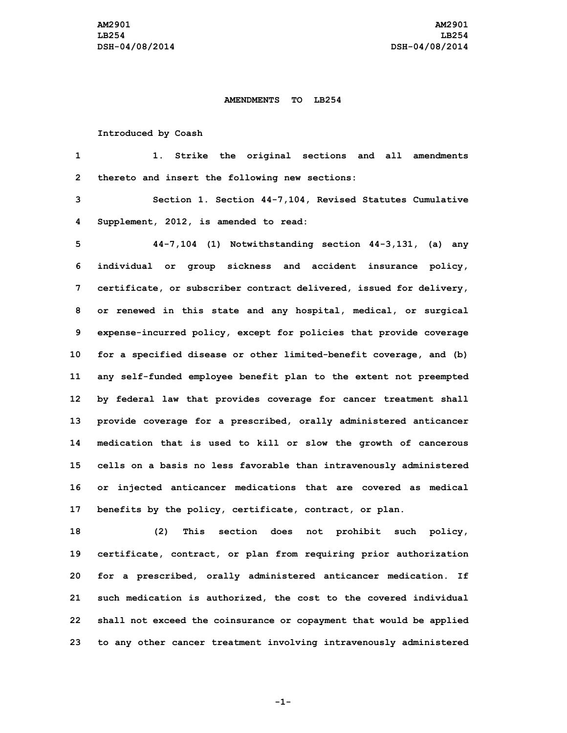## **AMENDMENTS TO LB254**

## **Introduced by Coash**

| 1  | Strike the original sections and all amendments<br>1. .             |
|----|---------------------------------------------------------------------|
| 2  | thereto and insert the following new sections:                      |
| 3  | Section 1. Section 44-7,104, Revised Statutes Cumulative            |
| 4  | Supplement, 2012, is amended to read:                               |
| 5  | 44-7,104 (1) Notwithstanding section 44-3,131, (a) any              |
| 6  | individual or group sickness and accident insurance policy,         |
| 7  | certificate, or subscriber contract delivered, issued for delivery, |
| 8  | or renewed in this state and any hospital, medical, or surgical     |
| 9  | expense-incurred policy, except for policies that provide coverage  |
| 10 | for a specified disease or other limited-benefit coverage, and (b)  |
| 11 | any self-funded employee benefit plan to the extent not preempted   |
| 12 | by federal law that provides coverage for cancer treatment shall    |
| 13 | provide coverage for a prescribed, orally administered anticancer   |
| 14 | medication that is used to kill or slow the growth of cancerous     |
| 15 | cells on a basis no less favorable than intravenously administered  |
| 16 | or injected anticancer medications that are covered as medical      |
| 17 | benefits by the policy, certificate, contract, or plan.             |
| 18 | This section does not prohibit such policy,<br>(2)                  |
| 19 | certificate, contract, or plan from requiring prior authorization   |
| 20 | for a prescribed, orally administered anticancer medication.<br>Ιf  |

**22 shall not exceed the coinsurance or copayment that would be applied 23 to any other cancer treatment involving intravenously administered**

**21 such medication is authorized, the cost to the covered individual**

**-1-**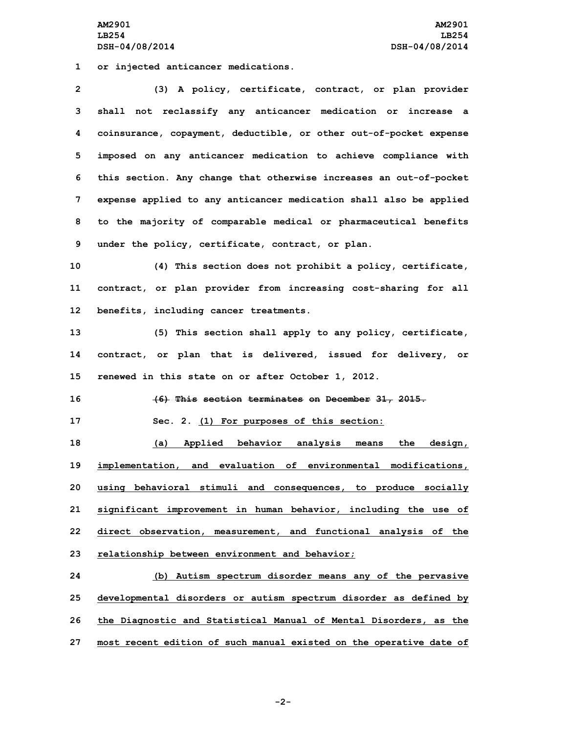**AM2901 AM2901 LB254 LB254 DSH-04/08/2014 DSH-04/08/2014**

**1 or injected anticancer medications.**

 **(3) <sup>A</sup> policy, certificate, contract, or plan provider shall not reclassify any anticancer medication or increase <sup>a</sup> coinsurance, copayment, deductible, or other out-of-pocket expense imposed on any anticancer medication to achieve compliance with this section. Any change that otherwise increases an out-of-pocket expense applied to any anticancer medication shall also be applied to the majority of comparable medical or pharmaceutical benefits under the policy, certificate, contract, or plan.**

**10 (4) This section does not prohibit <sup>a</sup> policy, certificate, 11 contract, or plan provider from increasing cost-sharing for all 12 benefits, including cancer treatments.**

**13 (5) This section shall apply to any policy, certificate, 14 contract, or plan that is delivered, issued for delivery, or 15 renewed in this state on or after October 1, 2012.**

**16 (6) This section terminates on December 31, 2015.**

**17 Sec. 2. (1) For purposes of this section:**

 **(a) Applied behavior analysis means the design, implementation, and evaluation of environmental modifications, using behavioral stimuli and consequences, to produce socially significant improvement in human behavior, including the use of direct observation, measurement, and functional analysis of the relationship between environment and behavior;**

 **(b) Autism spectrum disorder means any of the pervasive developmental disorders or autism spectrum disorder as defined by the Diagnostic and Statistical Manual of Mental Disorders, as the most recent edition of such manual existed on the operative date of**

**-2-**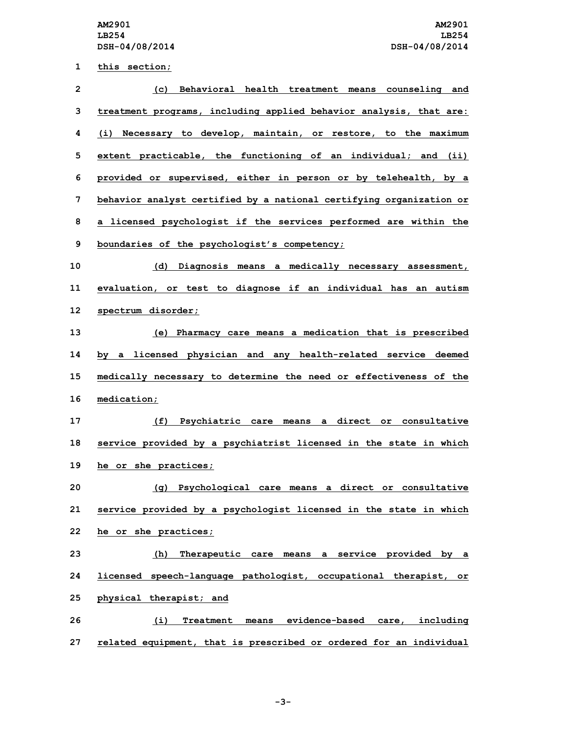**this section; (c) Behavioral health treatment means counseling and treatment programs, including applied behavior analysis, that are: (i) Necessary to develop, maintain, or restore, to the maximum extent practicable, the functioning of an individual; and (ii) provided or supervised, either in person or by telehealth, by <sup>a</sup> behavior analyst certified by <sup>a</sup> national certifying organization or <sup>a</sup> licensed psychologist if the services performed are within the boundaries of the psychologist's competency; (d) Diagnosis means <sup>a</sup> medically necessary assessment, evaluation, or test to diagnose if an individual has an autism spectrum disorder; (e) Pharmacy care means <sup>a</sup> medication that is prescribed by <sup>a</sup> licensed physician and any health-related service deemed medically necessary to determine the need or effectiveness of the medication; (f) Psychiatric care means <sup>a</sup> direct or consultative service provided by <sup>a</sup> psychiatrist licensed in the state in which he or she practices; (g) Psychological care means <sup>a</sup> direct or consultative service provided by <sup>a</sup> psychologist licensed in the state in which he or she practices; (h) Therapeutic care means <sup>a</sup> service provided by <sup>a</sup> licensed speech-language pathologist, occupational therapist, or physical therapist; and (i) Treatment means evidence-based care, including related equipment, that is prescribed or ordered for an individual**

**-3-**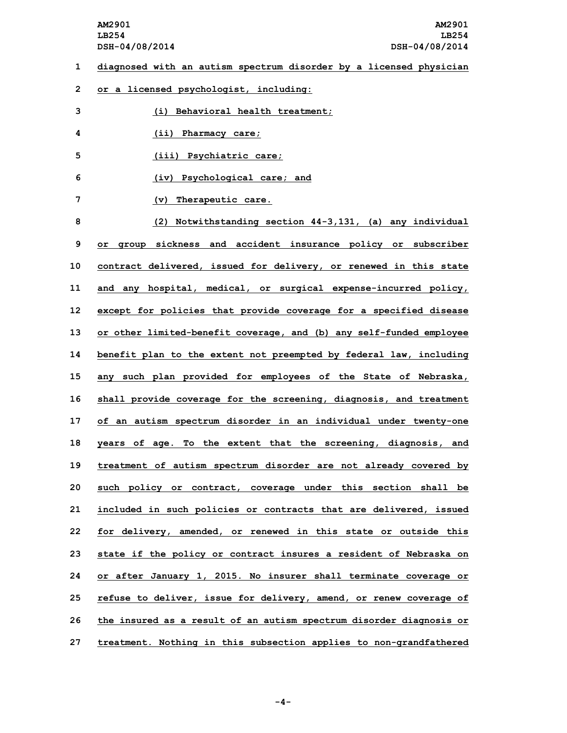| 1  | diagnosed with an autism spectrum disorder by a licensed physician  |
|----|---------------------------------------------------------------------|
| 2  | or a licensed psychologist, including:                              |
| 3  | (i) Behavioral health treatment;                                    |
| 4  | (ii) Pharmacy care;                                                 |
| 5  | (iii) Psychiatric care;                                             |
| 6  | (iv) Psychological care; and                                        |
| 7  | (v) Therapeutic care.                                               |
| 8  | (2) Notwithstanding section 44-3,131, (a) any individual            |
| 9  | group sickness and accident insurance policy or subscriber<br>or    |
| 10 | contract delivered, issued for delivery, or renewed in this state   |
| 11 | and any hospital, medical, or surgical expense-incurred policy,     |
| 12 | except for policies that provide coverage for a specified disease   |
| 13 | or other limited-benefit coverage, and (b) any self-funded employee |
| 14 | benefit plan to the extent not preempted by federal law, including  |
| 15 | any such plan provided for employees of the State of Nebraska,      |
| 16 | shall provide coverage for the screening, diagnosis, and treatment  |
| 17 | of an autism spectrum disorder in an individual under twenty-one    |
| 18 | years of age. To the extent that the screening, diagnosis, and      |
| 19 | treatment of autism spectrum disorder are not already covered by    |
| 20 | such policy or contract, coverage under this section shall be       |
| 21 | included in such policies or contracts that are delivered, issued   |
| 22 | for delivery, amended, or renewed in this state or outside this     |
| 23 | state if the policy or contract insures a resident of Nebraska on   |
| 24 | or after January 1, 2015. No insurer shall terminate coverage or    |
| 25 | refuse to deliver, issue for delivery, amend, or renew coverage of  |
| 26 | the insured as a result of an autism spectrum disorder diagnosis or |
| 27 | treatment. Nothing in this subsection applies to non-grandfathered  |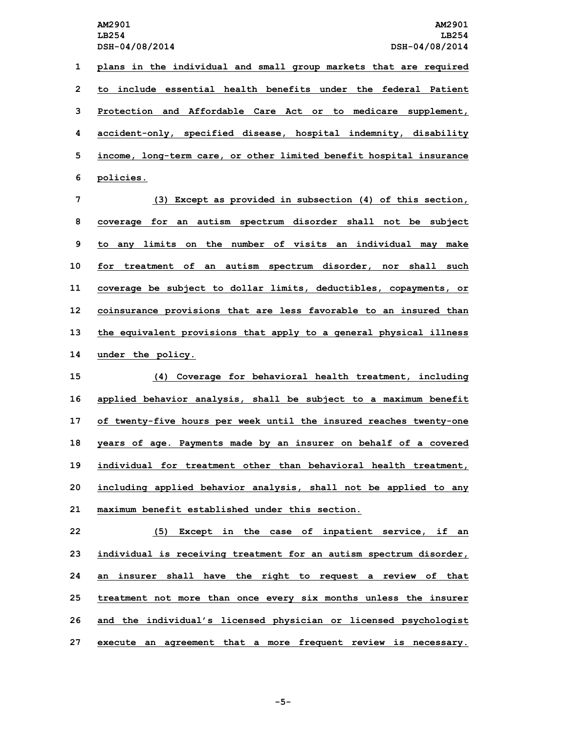**plans in the individual and small group markets that are required to include essential health benefits under the federal Patient Protection and Affordable Care Act or to medicare supplement, accident-only, specified disease, hospital indemnity, disability income, long-term care, or other limited benefit hospital insurance policies.**

 **(3) Except as provided in subsection (4) of this section, coverage for an autism spectrum disorder shall not be subject to any limits on the number of visits an individual may make for treatment of an autism spectrum disorder, nor shall such coverage be subject to dollar limits, deductibles, copayments, or coinsurance provisions that are less favorable to an insured than the equivalent provisions that apply to <sup>a</sup> general physical illness under the policy.**

 **(4) Coverage for behavioral health treatment, including applied behavior analysis, shall be subject to <sup>a</sup> maximum benefit of twenty-five hours per week until the insured reaches twenty-one years of age. Payments made by an insurer on behalf of <sup>a</sup> covered individual for treatment other than behavioral health treatment, including applied behavior analysis, shall not be applied to any maximum benefit established under this section.**

 **(5) Except in the case of inpatient service, if an individual is receiving treatment for an autism spectrum disorder, an insurer shall have the right to request <sup>a</sup> review of that treatment not more than once every six months unless the insurer and the individual's licensed physician or licensed psychologist execute an agreement that <sup>a</sup> more frequent review is necessary.**

**-5-**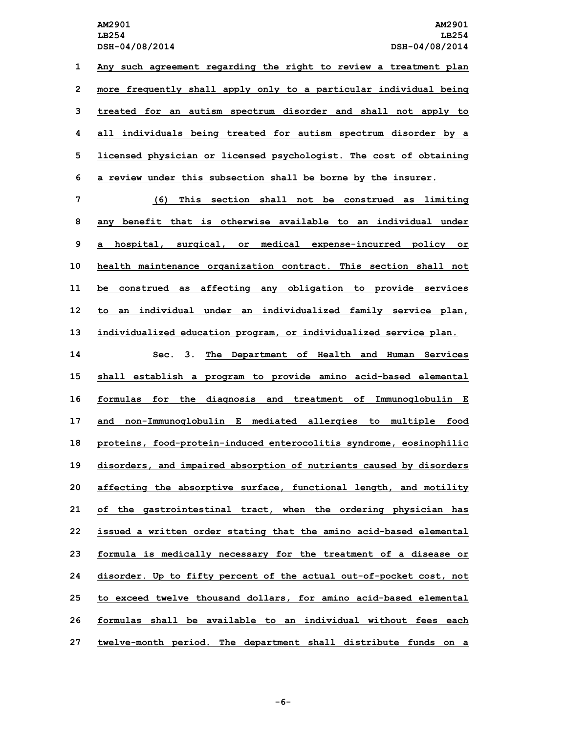**Any such agreement regarding the right to review <sup>a</sup> treatment plan more frequently shall apply only to <sup>a</sup> particular individual being treated for an autism spectrum disorder and shall not apply to all individuals being treated for autism spectrum disorder by <sup>a</sup> licensed physician or licensed psychologist. The cost of obtaining <sup>a</sup> review under this subsection shall be borne by the insurer.**

 **(6) This section shall not be construed as limiting any benefit that is otherwise available to an individual under <sup>a</sup> hospital, surgical, or medical expense-incurred policy or health maintenance organization contract. This section shall not be construed as affecting any obligation to provide services to an individual under an individualized family service plan, individualized education program, or individualized service plan.**

 **Sec. 3. The Department of Health and Human Services shall establish <sup>a</sup> program to provide amino acid-based elemental formulas for the diagnosis and treatment of Immunoglobulin <sup>E</sup> and non-Immunoglobulin <sup>E</sup> mediated allergies to multiple food proteins, food-protein-induced enterocolitis syndrome, eosinophilic disorders, and impaired absorption of nutrients caused by disorders affecting the absorptive surface, functional length, and motility of the gastrointestinal tract, when the ordering physician has issued <sup>a</sup> written order stating that the amino acid-based elemental formula is medically necessary for the treatment of <sup>a</sup> disease or disorder. Up to fifty percent of the actual out-of-pocket cost, not to exceed twelve thousand dollars, for amino acid-based elemental formulas shall be available to an individual without fees each twelve-month period. The department shall distribute funds on <sup>a</sup>**

**-6-**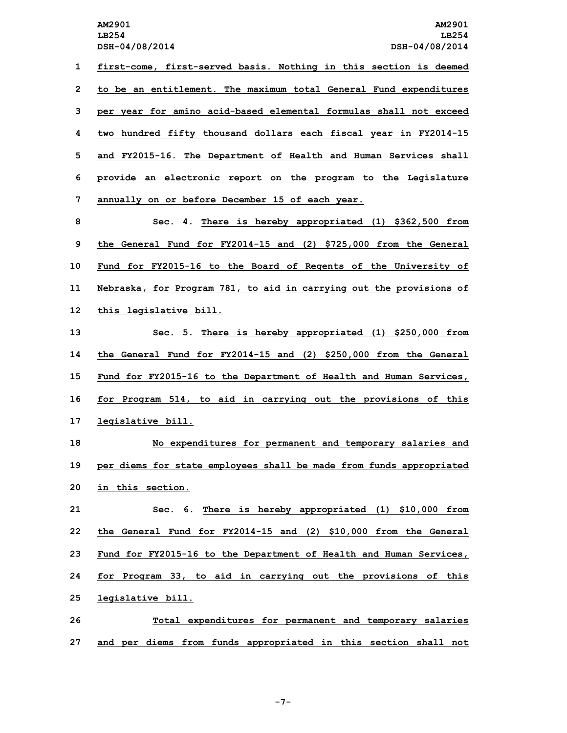**first-come, first-served basis. Nothing in this section is deemed to be an entitlement. The maximum total General Fund expenditures per year for amino acid-based elemental formulas shall not exceed two hundred fifty thousand dollars each fiscal year in FY2014-15 and FY2015-16. The Department of Health and Human Services shall provide an electronic report on the program to the Legislature annually on or before December 15 of each year.**

 **Sec. 4. There is hereby appropriated (1) \$362,500 from the General Fund for FY2014-15 and (2) \$725,000 from the General Fund for FY2015-16 to the Board of Regents of the University of Nebraska, for Program 781, to aid in carrying out the provisions of this legislative bill.**

 **Sec. 5. There is hereby appropriated (1) \$250,000 from the General Fund for FY2014-15 and (2) \$250,000 from the General Fund for FY2015-16 to the Department of Health and Human Services, for Program 514, to aid in carrying out the provisions of this legislative bill.**

**18 No expenditures for permanent and temporary salaries and 19 per diems for state employees shall be made from funds appropriated 20 in this section.**

 **Sec. 6. There is hereby appropriated (1) \$10,000 from the General Fund for FY2014-15 and (2) \$10,000 from the General Fund for FY2015-16 to the Department of Health and Human Services, for Program 33, to aid in carrying out the provisions of this legislative bill.**

**26 Total expenditures for permanent and temporary salaries 27 and per diems from funds appropriated in this section shall not**

**-7-**